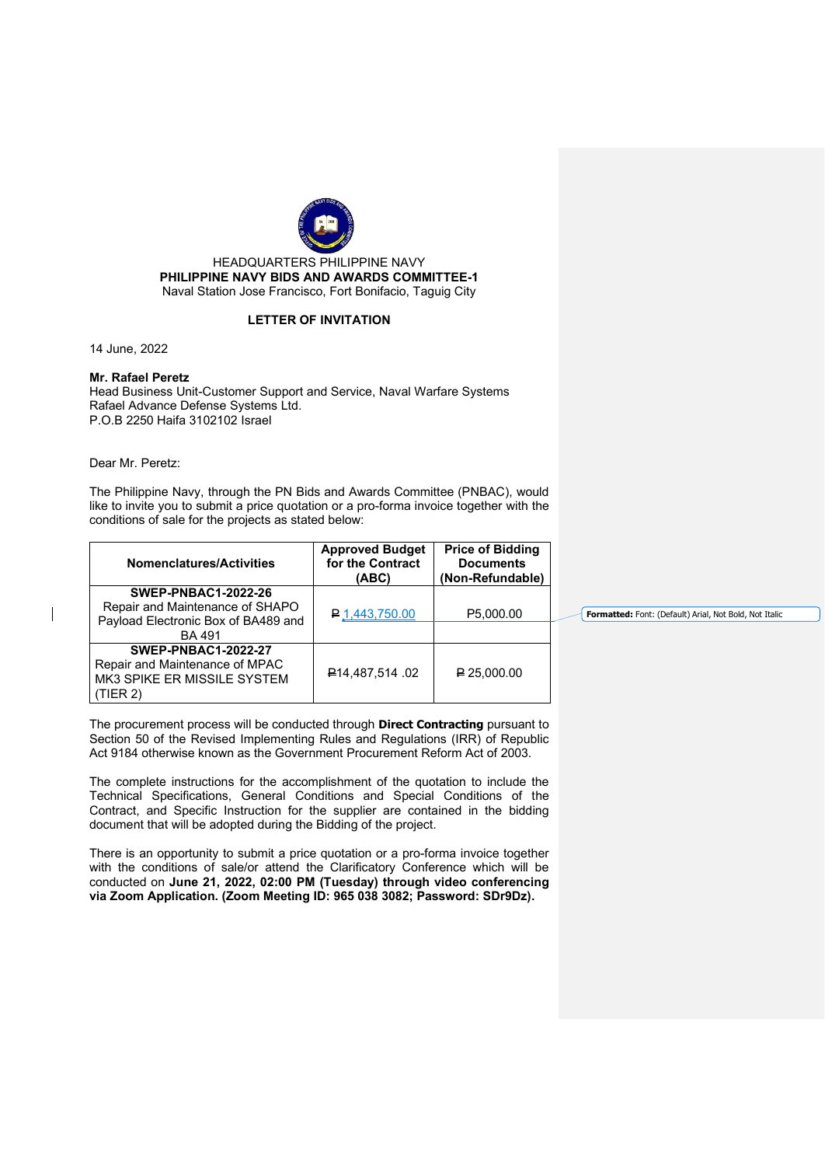

HEADQUARTERS PHILIPPINE NAVY **PHILIPPINE NAVY BIDS AND AWARDS COMMITTEE-1** Naval Station Jose Francisco, Fort Bonifacio, Taguig City

## **LETTER OF INVITATION**

14 June, 2022

## **Mr. Rafael Peretz**

Head Business Unit-Customer Support and Service, Naval Warfare Systems Rafael Advance Defense Systems Ltd. P.O.B 2250 Haifa 3102102 Israel

Dear Mr. Peretz:

The Philippine Navy, through the PN Bids and Awards Committee (PNBAC), would like to invite you to submit a price quotation or a pro-forma invoice together with the conditions of sale for the projects as stated below:

| <b>Nomenclatures/Activities</b>                                                                                       | <b>Approved Budget</b><br>for the Contract<br>(ABC) | <b>Price of Bidding</b><br><b>Documents</b><br>(Non-Refundable) |
|-----------------------------------------------------------------------------------------------------------------------|-----------------------------------------------------|-----------------------------------------------------------------|
| <b>SWEP-PNBAC1-2022-26</b><br>Repair and Maintenance of SHAPO<br>Payload Electronic Box of BA489 and<br><b>BA 491</b> | P <sub>.1</sub> ,443,750.00                         | P5,000.00                                                       |
| <b>SWEP-PNBAC1-2022-27</b><br>Repair and Maintenance of MPAC<br>MK3 SPIKE ER MISSILE SYSTEM<br>(TIER 2)               | <b>P14.487.514 .02</b>                              | $\bigp{P}$ 25.000.00                                            |

The procurement process will be conducted through **Direct Contracting** pursuant to Section 50 of the Revised Implementing Rules and Regulations (IRR) of Republic Act 9184 otherwise known as the Government Procurement Reform Act of 2003.

The complete instructions for the accomplishment of the quotation to include the Technical Specifications, General Conditions and Special Conditions of the Contract, and Specific Instruction for the supplier are contained in the bidding document that will be adopted during the Bidding of the project.

There is an opportunity to submit a price quotation or a pro-forma invoice together with the conditions of sale/or attend the Clarificatory Conference which will be conducted on **June 21, 2022, 02:00 PM (Tuesday) through video conferencing via Zoom Application. (Zoom Meeting ID: 965 038 3082; Password: SDr9Dz).**

**Formatted:** Font: (Default) Arial, Not Bold, Not Italic